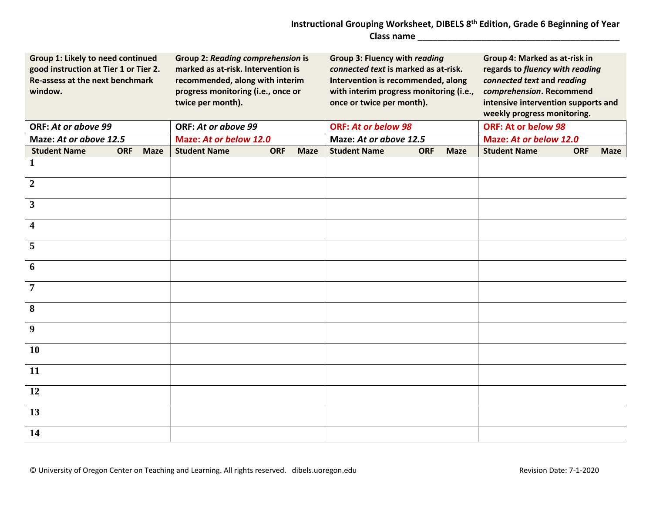## **Instructional Grouping Worksheet, DIBELS 8th Edition, Grade 6 Beginning of Year Class name** \_\_\_\_\_\_\_\_\_\_\_\_\_\_\_\_\_\_\_\_\_\_\_\_\_\_\_\_\_\_\_\_\_\_\_\_\_\_\_\_\_

| Group 1: Likely to need continued<br>good instruction at Tier 1 or Tier 2.<br>Re-assess at the next benchmark<br>window. |            |             | <b>Group 2: Reading comprehension is</b><br>marked as at-risk. Intervention is<br>recommended, along with interim<br>progress monitoring (i.e., once or<br>twice per month). |            |             | <b>Group 3: Fluency with reading</b><br>connected text is marked as at-risk.<br>Intervention is recommended, along<br>with interim progress monitoring (i.e.,<br>once or twice per month). |                           |  | Group 4: Marked as at-risk in<br>regards to fluency with reading<br>connected text and reading<br>comprehension. Recommend<br>intensive intervention supports and<br>weekly progress monitoring. |            |             |  |
|--------------------------------------------------------------------------------------------------------------------------|------------|-------------|------------------------------------------------------------------------------------------------------------------------------------------------------------------------------|------------|-------------|--------------------------------------------------------------------------------------------------------------------------------------------------------------------------------------------|---------------------------|--|--------------------------------------------------------------------------------------------------------------------------------------------------------------------------------------------------|------------|-------------|--|
| ORF: At or above 99                                                                                                      |            |             | ORF: At or above 99                                                                                                                                                          |            |             | <b>ORF: At or below 98</b>                                                                                                                                                                 |                           |  | ORF: At or below 98                                                                                                                                                                              |            |             |  |
| Maze: At or above 12.5                                                                                                   |            |             | Maze: At or below 12.0                                                                                                                                                       |            |             | Maze: At or above 12.5                                                                                                                                                                     |                           |  | Maze: At or below 12.0                                                                                                                                                                           |            |             |  |
| <b>Student Name</b>                                                                                                      | <b>ORF</b> | <b>Maze</b> | <b>Student Name</b>                                                                                                                                                          | <b>ORF</b> | <b>Maze</b> | <b>Student Name</b>                                                                                                                                                                        | <b>ORF</b><br><b>Maze</b> |  | <b>Student Name</b>                                                                                                                                                                              | <b>ORF</b> | <b>Maze</b> |  |
| $\mathbf 1$                                                                                                              |            |             |                                                                                                                                                                              |            |             |                                                                                                                                                                                            |                           |  |                                                                                                                                                                                                  |            |             |  |
| $\overline{2}$                                                                                                           |            |             |                                                                                                                                                                              |            |             |                                                                                                                                                                                            |                           |  |                                                                                                                                                                                                  |            |             |  |
| $\mathbf{3}$                                                                                                             |            |             |                                                                                                                                                                              |            |             |                                                                                                                                                                                            |                           |  |                                                                                                                                                                                                  |            |             |  |
| $\overline{\mathbf{4}}$                                                                                                  |            |             |                                                                                                                                                                              |            |             |                                                                                                                                                                                            |                           |  |                                                                                                                                                                                                  |            |             |  |
| 5                                                                                                                        |            |             |                                                                                                                                                                              |            |             |                                                                                                                                                                                            |                           |  |                                                                                                                                                                                                  |            |             |  |
| 6                                                                                                                        |            |             |                                                                                                                                                                              |            |             |                                                                                                                                                                                            |                           |  |                                                                                                                                                                                                  |            |             |  |
| $\overline{7}$                                                                                                           |            |             |                                                                                                                                                                              |            |             |                                                                                                                                                                                            |                           |  |                                                                                                                                                                                                  |            |             |  |
| 8                                                                                                                        |            |             |                                                                                                                                                                              |            |             |                                                                                                                                                                                            |                           |  |                                                                                                                                                                                                  |            |             |  |
| 9                                                                                                                        |            |             |                                                                                                                                                                              |            |             |                                                                                                                                                                                            |                           |  |                                                                                                                                                                                                  |            |             |  |
| <b>10</b>                                                                                                                |            |             |                                                                                                                                                                              |            |             |                                                                                                                                                                                            |                           |  |                                                                                                                                                                                                  |            |             |  |
| 11                                                                                                                       |            |             |                                                                                                                                                                              |            |             |                                                                                                                                                                                            |                           |  |                                                                                                                                                                                                  |            |             |  |
| 12                                                                                                                       |            |             |                                                                                                                                                                              |            |             |                                                                                                                                                                                            |                           |  |                                                                                                                                                                                                  |            |             |  |
| 13                                                                                                                       |            |             |                                                                                                                                                                              |            |             |                                                                                                                                                                                            |                           |  |                                                                                                                                                                                                  |            |             |  |
| 14                                                                                                                       |            |             |                                                                                                                                                                              |            |             |                                                                                                                                                                                            |                           |  |                                                                                                                                                                                                  |            |             |  |

© University of Oregon Center on Teaching and Learning. All rights reserved. dibels.uoregon.edu Revision Date: 7-1-2020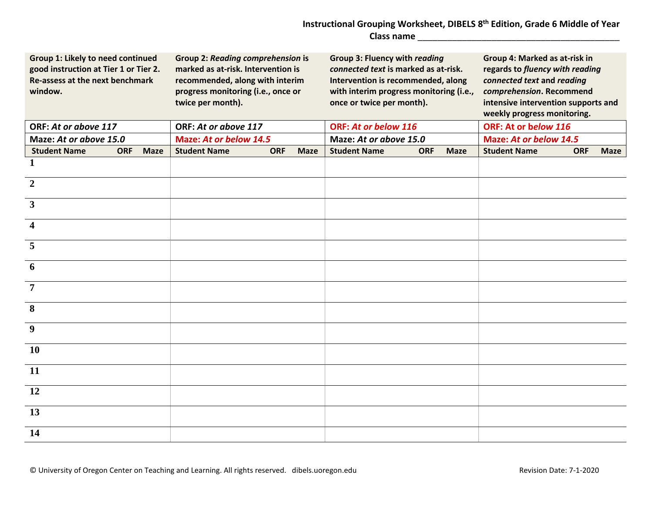## **Instructional Grouping Worksheet, DIBELS 8th Edition, Grade 6 Middle of Year Class name** \_\_\_\_\_\_\_\_\_\_\_\_\_\_\_\_\_\_\_\_\_\_\_\_\_\_\_\_\_\_\_\_\_\_\_\_\_\_\_\_\_

| Group 1: Likely to need continued<br>good instruction at Tier 1 or Tier 2.<br>Re-assess at the next benchmark<br>window. |            |             | <b>Group 2: Reading comprehension is</b><br>marked as at-risk. Intervention is<br>recommended, along with interim<br>progress monitoring (i.e., once or<br>twice per month). |            |             | <b>Group 3: Fluency with reading</b><br>connected text is marked as at-risk.<br>Intervention is recommended, along<br>with interim progress monitoring (i.e.,<br>once or twice per month). |            |             | Group 4: Marked as at-risk in<br>regards to fluency with reading<br>connected text and reading<br>comprehension. Recommend<br>intensive intervention supports and<br>weekly progress monitoring. |            |             |  |
|--------------------------------------------------------------------------------------------------------------------------|------------|-------------|------------------------------------------------------------------------------------------------------------------------------------------------------------------------------|------------|-------------|--------------------------------------------------------------------------------------------------------------------------------------------------------------------------------------------|------------|-------------|--------------------------------------------------------------------------------------------------------------------------------------------------------------------------------------------------|------------|-------------|--|
| ORF: At or above 117                                                                                                     |            |             | ORF: At or above 117                                                                                                                                                         |            |             | <b>ORF: At or below 116</b>                                                                                                                                                                |            |             | ORF: At or below 116                                                                                                                                                                             |            |             |  |
| Maze: At or above 15.0                                                                                                   |            |             | Maze: At or below 14.5                                                                                                                                                       |            |             | Maze: At or above 15.0                                                                                                                                                                     |            |             | <b>Maze: At or below 14.5</b>                                                                                                                                                                    |            |             |  |
| <b>Student Name</b>                                                                                                      | <b>ORF</b> | <b>Maze</b> | <b>Student Name</b>                                                                                                                                                          | <b>ORF</b> | <b>Maze</b> | <b>Student Name</b>                                                                                                                                                                        | <b>ORF</b> | <b>Maze</b> | <b>Student Name</b>                                                                                                                                                                              | <b>ORF</b> | <b>Maze</b> |  |
| 1                                                                                                                        |            |             |                                                                                                                                                                              |            |             |                                                                                                                                                                                            |            |             |                                                                                                                                                                                                  |            |             |  |
| $\overline{2}$                                                                                                           |            |             |                                                                                                                                                                              |            |             |                                                                                                                                                                                            |            |             |                                                                                                                                                                                                  |            |             |  |
| $\mathbf{3}$                                                                                                             |            |             |                                                                                                                                                                              |            |             |                                                                                                                                                                                            |            |             |                                                                                                                                                                                                  |            |             |  |
| $\overline{\mathbf{4}}$                                                                                                  |            |             |                                                                                                                                                                              |            |             |                                                                                                                                                                                            |            |             |                                                                                                                                                                                                  |            |             |  |
| 5                                                                                                                        |            |             |                                                                                                                                                                              |            |             |                                                                                                                                                                                            |            |             |                                                                                                                                                                                                  |            |             |  |
| 6                                                                                                                        |            |             |                                                                                                                                                                              |            |             |                                                                                                                                                                                            |            |             |                                                                                                                                                                                                  |            |             |  |
| $\overline{7}$                                                                                                           |            |             |                                                                                                                                                                              |            |             |                                                                                                                                                                                            |            |             |                                                                                                                                                                                                  |            |             |  |
| 8                                                                                                                        |            |             |                                                                                                                                                                              |            |             |                                                                                                                                                                                            |            |             |                                                                                                                                                                                                  |            |             |  |
| 9                                                                                                                        |            |             |                                                                                                                                                                              |            |             |                                                                                                                                                                                            |            |             |                                                                                                                                                                                                  |            |             |  |
| 10                                                                                                                       |            |             |                                                                                                                                                                              |            |             |                                                                                                                                                                                            |            |             |                                                                                                                                                                                                  |            |             |  |
| 11                                                                                                                       |            |             |                                                                                                                                                                              |            |             |                                                                                                                                                                                            |            |             |                                                                                                                                                                                                  |            |             |  |
| 12                                                                                                                       |            |             |                                                                                                                                                                              |            |             |                                                                                                                                                                                            |            |             |                                                                                                                                                                                                  |            |             |  |
| 13                                                                                                                       |            |             |                                                                                                                                                                              |            |             |                                                                                                                                                                                            |            |             |                                                                                                                                                                                                  |            |             |  |
| 14                                                                                                                       |            |             |                                                                                                                                                                              |            |             |                                                                                                                                                                                            |            |             |                                                                                                                                                                                                  |            |             |  |